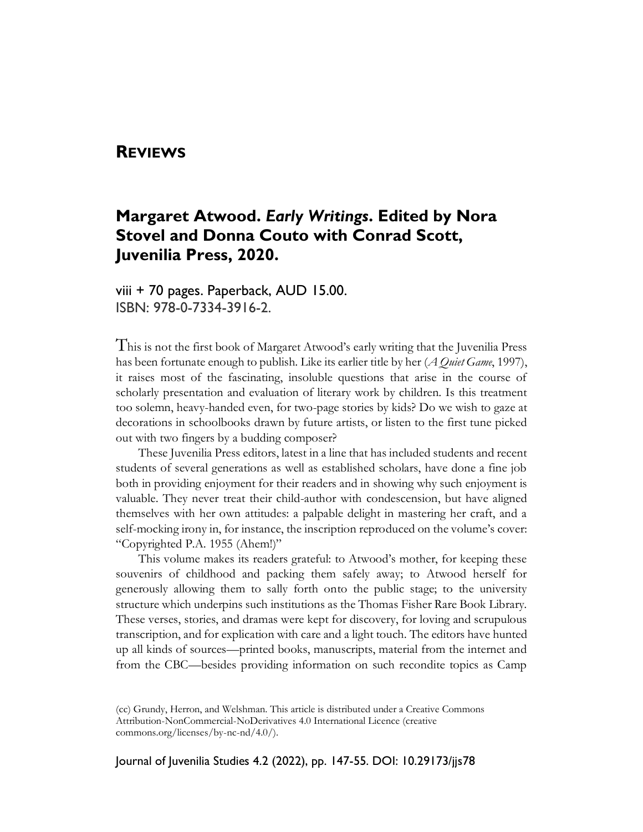#### **REVIEWS**

# **Margaret Atwood.** *Early Writings***. Edited by Nora Stovel and Donna Couto with Conrad Scott, Juvenilia Press, 2020.**

viii + 70 pages. Paperback, AUD 15.00. ISBN: 978-0-7334-3916-2.

This is not the first book of Margaret Atwood's early writing that the Juvenilia Press has been fortunate enough to publish. Like its earlier title by her (*A Quiet Game*, 1997), it raises most of the fascinating, insoluble questions that arise in the course of scholarly presentation and evaluation of literary work by children. Is this treatment too solemn, heavy-handed even, for two-page stories by kids? Do we wish to gaze at decorations in schoolbooks drawn by future artists, or listen to the first tune picked out with two fingers by a budding composer?

These Juvenilia Press editors, latest in a line that has included students and recent students of several generations as well as established scholars, have done a fine job both in providing enjoyment for their readers and in showing why such enjoyment is valuable. They never treat their child-author with condescension, but have aligned themselves with her own attitudes: a palpable delight in mastering her craft, and a self-mocking irony in, for instance, the inscription reproduced on the volume's cover: "Copyrighted P.A. 1955 (Ahem!)"

This volume makes its readers grateful: to Atwood's mother, for keeping these souvenirs of childhood and packing them safely away; to Atwood herself for generously allowing them to sally forth onto the public stage; to the university structure which underpins such institutions as the Thomas Fisher Rare Book Library. These verses, stories, and dramas were kept for discovery, for loving and scrupulous transcription, and for explication with care and a light touch. The editors have hunted up all kinds of sources—printed books, manuscripts, material from the internet and from the CBC—besides providing information on such recondite topics as Camp

Journal of Juvenilia Studies 4.2 (2022), pp. 147-55. DOI: 10.29173/jjs78

<sup>(</sup>cc) Grundy, Herron, and Welshman. This article is distributed under a Creative Commons Attribution-NonCommercial-NoDerivatives 4.0 International Licence (creative commons.org/licenses/by-nc-nd/4.0/).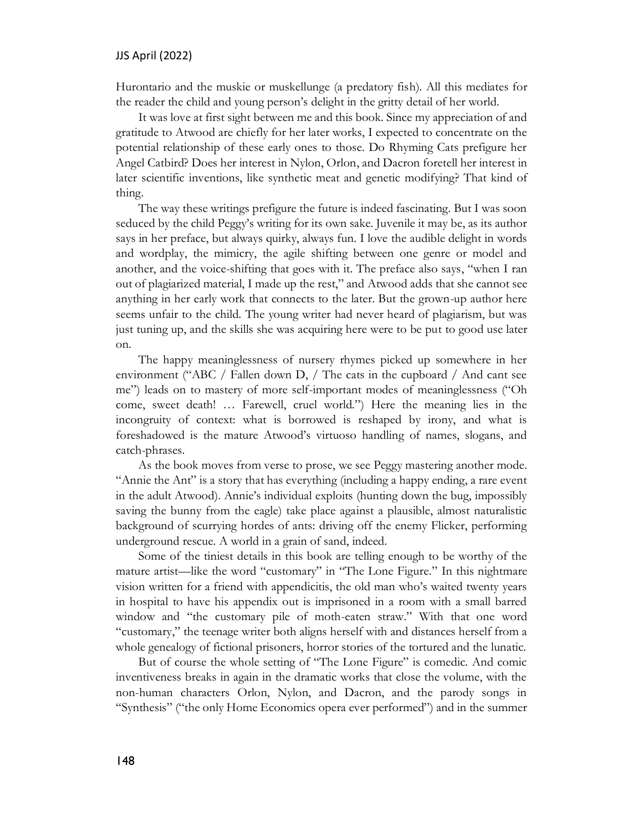Hurontario and the muskie or muskellunge (a predatory fish). All this mediates for the reader the child and young person's delight in the gritty detail of her world.

It was love at first sight between me and this book. Since my appreciation of and gratitude to Atwood are chiefly for her later works, I expected to concentrate on the potential relationship of these early ones to those. Do Rhyming Cats prefigure her Angel Catbird? Does her interest in Nylon, Orlon, and Dacron foretell her interest in later scientific inventions, like synthetic meat and genetic modifying? That kind of thing.

The way these writings prefigure the future is indeed fascinating. But I was soon seduced by the child Peggy's writing for its own sake. Juvenile it may be, as its author says in her preface, but always quirky, always fun. I love the audible delight in words and wordplay, the mimicry, the agile shifting between one genre or model and another, and the voice-shifting that goes with it. The preface also says, "when I ran out of plagiarized material, I made up the rest," and Atwood adds that she cannot see anything in her early work that connects to the later. But the grown-up author here seems unfair to the child. The young writer had never heard of plagiarism, but was just tuning up, and the skills she was acquiring here were to be put to good use later on.

The happy meaninglessness of nursery rhymes picked up somewhere in her environment ("ABC / Fallen down D, / The cats in the cupboard / And cant see me") leads on to mastery of more self-important modes of meaninglessness ("Oh come, sweet death! … Farewell, cruel world.") Here the meaning lies in the incongruity of context: what is borrowed is reshaped by irony, and what is foreshadowed is the mature Atwood's virtuoso handling of names, slogans, and catch-phrases.

As the book moves from verse to prose, we see Peggy mastering another mode. "Annie the Ant" is a story that has everything (including a happy ending, a rare event in the adult Atwood). Annie's individual exploits (hunting down the bug, impossibly saving the bunny from the eagle) take place against a plausible, almost naturalistic background of scurrying hordes of ants: driving off the enemy Flicker, performing underground rescue. A world in a grain of sand, indeed.

Some of the tiniest details in this book are telling enough to be worthy of the mature artist—like the word "customary" in "The Lone Figure." In this nightmare vision written for a friend with appendicitis, the old man who's waited twenty years in hospital to have his appendix out is imprisoned in a room with a small barred window and "the customary pile of moth-eaten straw." With that one word "customary," the teenage writer both aligns herself with and distances herself from a whole genealogy of fictional prisoners, horror stories of the tortured and the lunatic.

But of course the whole setting of "The Lone Figure" is comedic. And comic inventiveness breaks in again in the dramatic works that close the volume, with the non-human characters Orlon, Nylon, and Dacron, and the parody songs in "Synthesis" ("the only Home Economics opera ever performed") and in the summer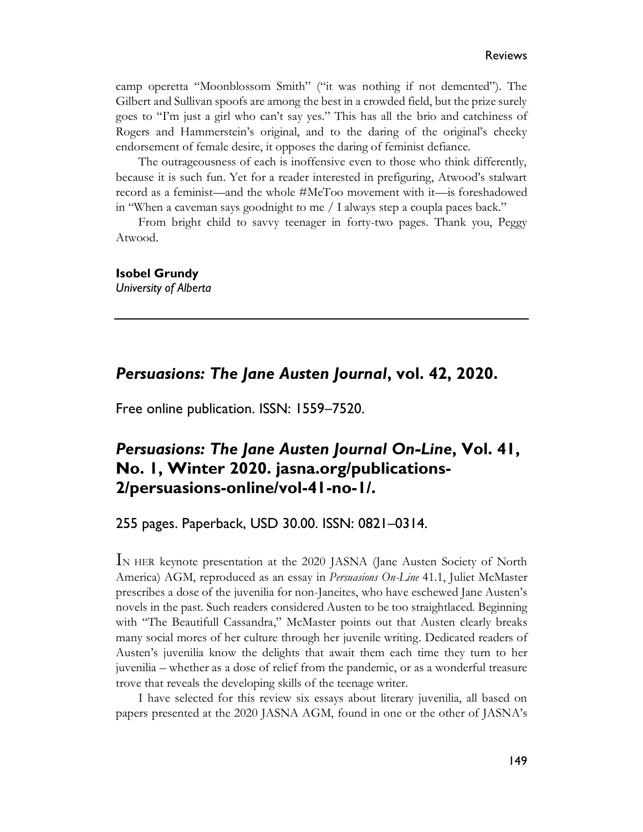camp operetta "Moonblossom Smith" ("it was nothing if not demented"). The Gilbert and Sullivan spoofs are among the best in a crowded field, but the prize surely goes to "I'm just a girl who can't say yes." This has all the brio and catchiness of Rogers and Hammerstein's original, and to the daring of the original's cheeky endorsement of female desire, it opposes the daring of feminist defiance.

The outrageousness of each is inoffensive even to those who think differently, because it is such fun. Yet for a reader interested in prefiguring, Atwood's stalwart record as a feminist—and the whole #MeToo movement with it—is foreshadowed in "When a caveman says goodnight to me / I always step a coupla paces back."

From bright child to savvy teenager in forty-two pages. Thank you, Peggy Atwood.

**Isobel Grundy**

*University of Alberta*

### *Persuasions: The Jane Austen Journal***, vol. 42, 2020.**

Free online publication. ISSN: 1559–7520.

## *Persuasions: The Jane Austen Journal On-Line***, Vol. 41, No. 1, Winter 2020. jasna.org/publications-2/persuasions-online/vol-41-no-1/.**

255 pages. Paperback, USD 30.00. ISSN: 0821–0314.

IN HER keynote presentation at the 2020 JASNA (Jane Austen Society of North America) AGM, reproduced as an essay in *Persuasions On-Line* 41.1, Juliet McMaster prescribes a dose of the juvenilia for non-Janeites, who have eschewed Jane Austen's novels in the past. Such readers considered Austen to be too straightlaced. Beginning with "The Beautifull Cassandra," McMaster points out that Austen clearly breaks many social mores of her culture through her juvenile writing. Dedicated readers of Austen's juvenilia know the delights that await them each time they turn to her juvenilia – whether as a dose of relief from the pandemic, or as a wonderful treasure trove that reveals the developing skills of the teenage writer.

I have selected for this review six essays about literary juvenilia, all based on papers presented at the 2020 JASNA AGM, found in one or the other of JASNA's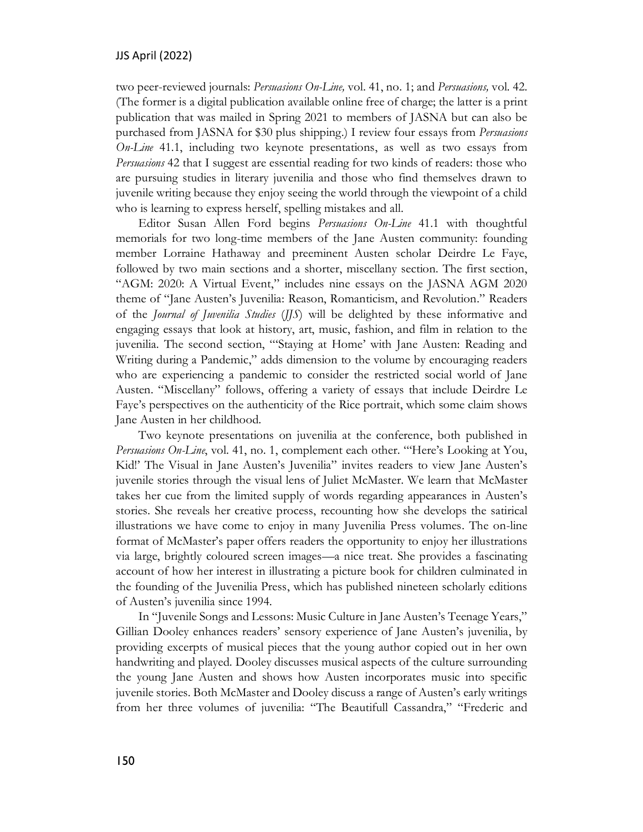two peer-reviewed journals: *Persuasions On-Line,* vol. 41, no. 1; and *Persuasions,* vol. 42. (The former is a digital publication available online free of charge; the latter is a print publication that was mailed in Spring 2021 to members of JASNA but can also be purchased from JASNA for \$30 plus shipping.) I review four essays from *Persuasions On-Line* 41.1, including two keynote presentations, as well as two essays from *Persuasions* 42 that I suggest are essential reading for two kinds of readers: those who are pursuing studies in literary juvenilia and those who find themselves drawn to juvenile writing because they enjoy seeing the world through the viewpoint of a child who is learning to express herself, spelling mistakes and all.

Editor Susan Allen Ford begins *Persuasions On-Line* 41.1 with thoughtful memorials for two long-time members of the Jane Austen community: founding member Lorraine Hathaway and preeminent Austen scholar Deirdre Le Faye, followed by two main sections and a shorter, miscellany section. The first section, "AGM: 2020: A Virtual Event," includes nine essays on the JASNA AGM 2020 theme of "Jane Austen's Juvenilia: Reason, Romanticism, and Revolution." Readers of the *Journal of Juvenilia Studies* (*JJS*) will be delighted by these informative and engaging essays that look at history, art, music, fashion, and film in relation to the juvenilia. The second section, "'Staying at Home' with Jane Austen: Reading and Writing during a Pandemic," adds dimension to the volume by encouraging readers who are experiencing a pandemic to consider the restricted social world of Jane Austen. "Miscellany" follows, offering a variety of essays that include Deirdre Le Faye's perspectives on the authenticity of the Rice portrait, which some claim shows Jane Austen in her childhood.

Two keynote presentations on juvenilia at the conference, both published in *Persuasions On-Line*, vol. 41, no. 1, complement each other. "'Here's Looking at You, Kid!' The Visual in Jane Austen's Juvenilia" invites readers to view Jane Austen's juvenile stories through the visual lens of Juliet McMaster. We learn that McMaster takes her cue from the limited supply of words regarding appearances in Austen's stories. She reveals her creative process, recounting how she develops the satirical illustrations we have come to enjoy in many Juvenilia Press volumes. The on-line format of McMaster's paper offers readers the opportunity to enjoy her illustrations via large, brightly coloured screen images—a nice treat. She provides a fascinating account of how her interest in illustrating a picture book for children culminated in the founding of the Juvenilia Press, which has published nineteen scholarly editions of Austen's juvenilia since 1994.

In "Juvenile Songs and Lessons: Music Culture in Jane Austen's Teenage Years," Gillian Dooley enhances readers' sensory experience of Jane Austen's juvenilia, by providing excerpts of musical pieces that the young author copied out in her own handwriting and played. Dooley discusses musical aspects of the culture surrounding the young Jane Austen and shows how Austen incorporates music into specific juvenile stories. Both McMaster and Dooley discuss a range of Austen's early writings from her three volumes of juvenilia: "The Beautifull Cassandra," "Frederic and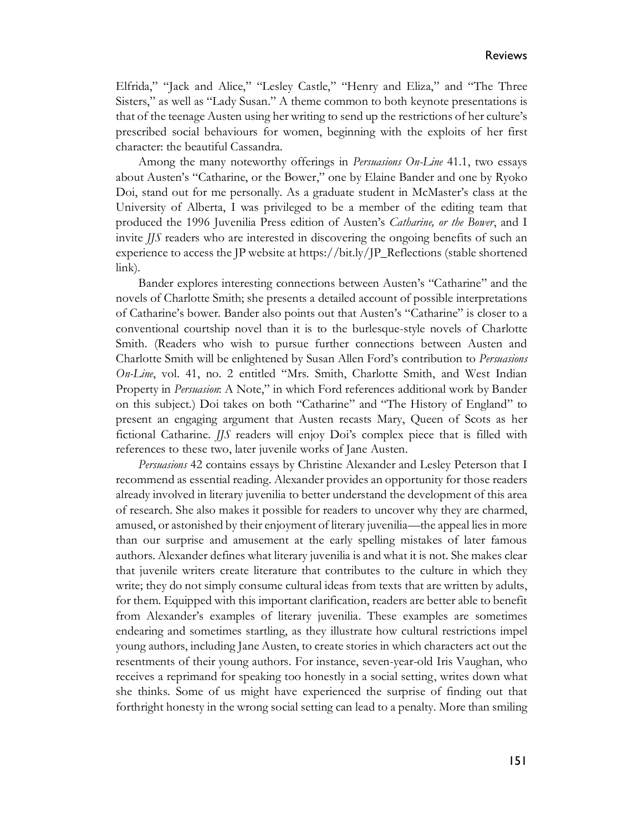Elfrida," "Jack and Alice," "Lesley Castle," "Henry and Eliza," and "The Three Sisters," as well as "Lady Susan." A theme common to both keynote presentations is that of the teenage Austen using her writing to send up the restrictions of her culture's prescribed social behaviours for women, beginning with the exploits of her first character: the beautiful Cassandra.

Among the many noteworthy offerings in *Persuasions On-Line* 41.1, two essays about Austen's "Catharine, or the Bower," one by Elaine Bander and one by Ryoko Doi, stand out for me personally. As a graduate student in McMaster's class at the University of Alberta, I was privileged to be a member of the editing team that produced the 1996 Juvenilia Press edition of Austen's *Catharine, or the Bower*, and I invite *JJS* readers who are interested in discovering the ongoing benefits of such an experience to access the JP website at https://bit.ly/JP\_Reflections (stable shortened link).

Bander explores interesting connections between Austen's "Catharine" and the novels of Charlotte Smith; she presents a detailed account of possible interpretations of Catharine's bower. Bander also points out that Austen's "Catharine" is closer to a conventional courtship novel than it is to the burlesque-style novels of Charlotte Smith. (Readers who wish to pursue further connections between Austen and Charlotte Smith will be enlightened by Susan Allen Ford's contribution to *Persuasions On-Line*, vol. 41, no. 2 entitled "Mrs. Smith, Charlotte Smith, and West Indian Property in *Persuasion*: A Note," in which Ford references additional work by Bander on this subject.) Doi takes on both "Catharine" and "The History of England" to present an engaging argument that Austen recasts Mary, Queen of Scots as her fictional Catharine. *JJS* readers will enjoy Doi's complex piece that is filled with references to these two, later juvenile works of Jane Austen.

*Persuasions* 42 contains essays by Christine Alexander and Lesley Peterson that I recommend as essential reading. Alexander provides an opportunity for those readers already involved in literary juvenilia to better understand the development of this area of research. She also makes it possible for readers to uncover why they are charmed, amused, or astonished by their enjoyment of literary juvenilia—the appeal lies in more than our surprise and amusement at the early spelling mistakes of later famous authors. Alexander defines what literary juvenilia is and what it is not. She makes clear that juvenile writers create literature that contributes to the culture in which they write; they do not simply consume cultural ideas from texts that are written by adults, for them. Equipped with this important clarification, readers are better able to benefit from Alexander's examples of literary juvenilia. These examples are sometimes endearing and sometimes startling, as they illustrate how cultural restrictions impel young authors, including Jane Austen, to create stories in which characters act out the resentments of their young authors. For instance, seven-year-old Iris Vaughan, who receives a reprimand for speaking too honestly in a social setting, writes down what she thinks. Some of us might have experienced the surprise of finding out that forthright honesty in the wrong social setting can lead to a penalty. More than smiling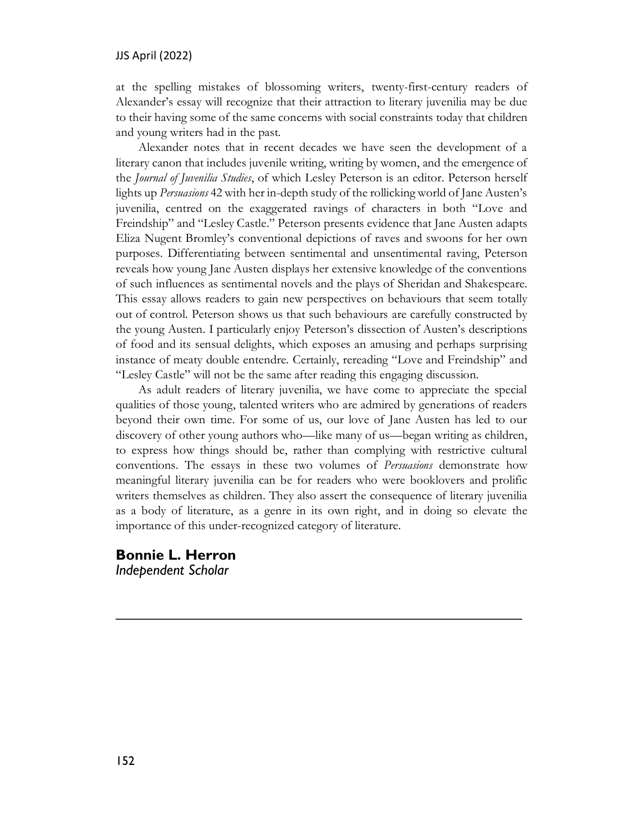#### JJS April (2022)

at the spelling mistakes of blossoming writers, twenty-first-century readers of Alexander's essay will recognize that their attraction to literary juvenilia may be due to their having some of the same concerns with social constraints today that children and young writers had in the past.

Alexander notes that in recent decades we have seen the development of a literary canon that includes juvenile writing, writing by women, and the emergence of the *Journal of Juvenilia Studies*, of which Lesley Peterson is an editor. Peterson herself lights up *Persuasions* 42 with her in-depth study of the rollicking world of Jane Austen's juvenilia, centred on the exaggerated ravings of characters in both "Love and Freindship" and "Lesley Castle." Peterson presents evidence that Jane Austen adapts Eliza Nugent Bromley's conventional depictions of raves and swoons for her own purposes. Differentiating between sentimental and unsentimental raving, Peterson reveals how young Jane Austen displays her extensive knowledge of the conventions of such influences as sentimental novels and the plays of Sheridan and Shakespeare. This essay allows readers to gain new perspectives on behaviours that seem totally out of control. Peterson shows us that such behaviours are carefully constructed by the young Austen. I particularly enjoy Peterson's dissection of Austen's descriptions of food and its sensual delights, which exposes an amusing and perhaps surprising instance of meaty double entendre. Certainly, rereading "Love and Freindship" and "Lesley Castle" will not be the same after reading this engaging discussion.

As adult readers of literary juvenilia, we have come to appreciate the special qualities of those young, talented writers who are admired by generations of readers beyond their own time. For some of us, our love of Jane Austen has led to our discovery of other young authors who—like many of us—began writing as children, to express how things should be, rather than complying with restrictive cultural conventions. The essays in these two volumes of *Persuasions* demonstrate how meaningful literary juvenilia can be for readers who were booklovers and prolific writers themselves as children. They also assert the consequence of literary juvenilia as a body of literature, as a genre in its own right, and in doing so elevate the importance of this under-recognized category of literature.

*\_\_\_\_\_\_\_\_\_\_\_\_\_\_\_\_\_\_\_\_\_\_\_\_\_\_\_\_\_\_\_\_\_\_\_\_\_\_\_\_\_\_\_*

**Bonnie L. Herron** *Independent Scholar*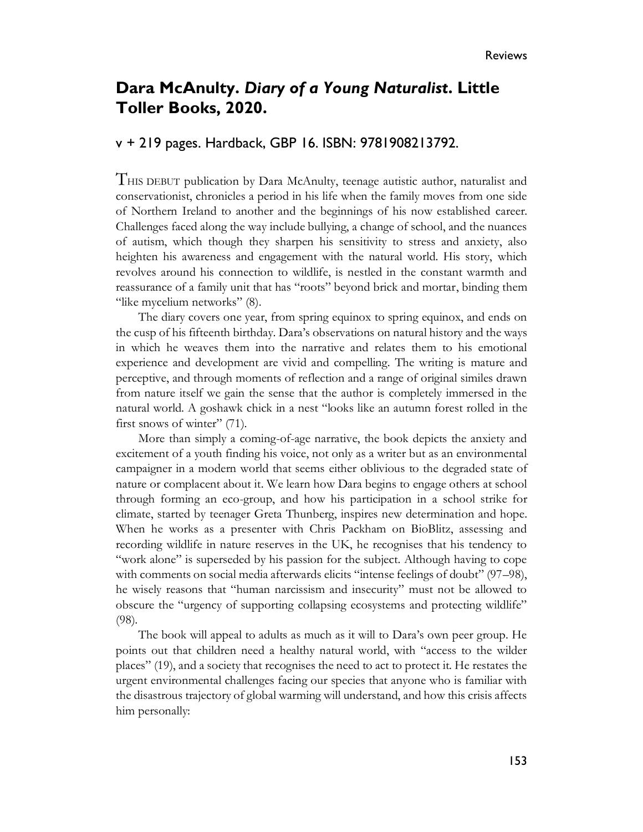## **Dara McAnulty.** *Diary of a Young Naturalist***. Little Toller Books, 2020.**

#### v + 219 pages. Hardback, GBP 16. ISBN: 9781908213792.

THIS DEBUT publication by Dara McAnulty, teenage autistic author, naturalist and conservationist, chronicles a period in his life when the family moves from one side of Northern Ireland to another and the beginnings of his now established career. Challenges faced along the way include bullying, a change of school, and the nuances of autism, which though they sharpen his sensitivity to stress and anxiety, also heighten his awareness and engagement with the natural world. His story, which revolves around his connection to wildlife, is nestled in the constant warmth and reassurance of a family unit that has "roots" beyond brick and mortar, binding them "like mycelium networks" (8).

The diary covers one year, from spring equinox to spring equinox, and ends on the cusp of his fifteenth birthday. Dara's observations on natural history and the ways in which he weaves them into the narrative and relates them to his emotional experience and development are vivid and compelling. The writing is mature and perceptive, and through moments of reflection and a range of original similes drawn from nature itself we gain the sense that the author is completely immersed in the natural world. A goshawk chick in a nest "looks like an autumn forest rolled in the first snows of winter" (71).

More than simply a coming-of-age narrative, the book depicts the anxiety and excitement of a youth finding his voice, not only as a writer but as an environmental campaigner in a modern world that seems either oblivious to the degraded state of nature or complacent about it. We learn how Dara begins to engage others at school through forming an eco-group, and how his participation in a school strike for climate, started by teenager Greta Thunberg, inspires new determination and hope. When he works as a presenter with Chris Packham on BioBlitz, assessing and recording wildlife in nature reserves in the UK, he recognises that his tendency to "work alone" is superseded by his passion for the subject. Although having to cope with comments on social media afterwards elicits "intense feelings of doubt" (97–98), he wisely reasons that "human narcissism and insecurity" must not be allowed to obscure the "urgency of supporting collapsing ecosystems and protecting wildlife" (98).

The book will appeal to adults as much as it will to Dara's own peer group. He points out that children need a healthy natural world, with "access to the wilder places" (19), and a society that recognises the need to act to protect it. He restates the urgent environmental challenges facing our species that anyone who is familiar with the disastrous trajectory of global warming will understand, and how this crisis affects him personally: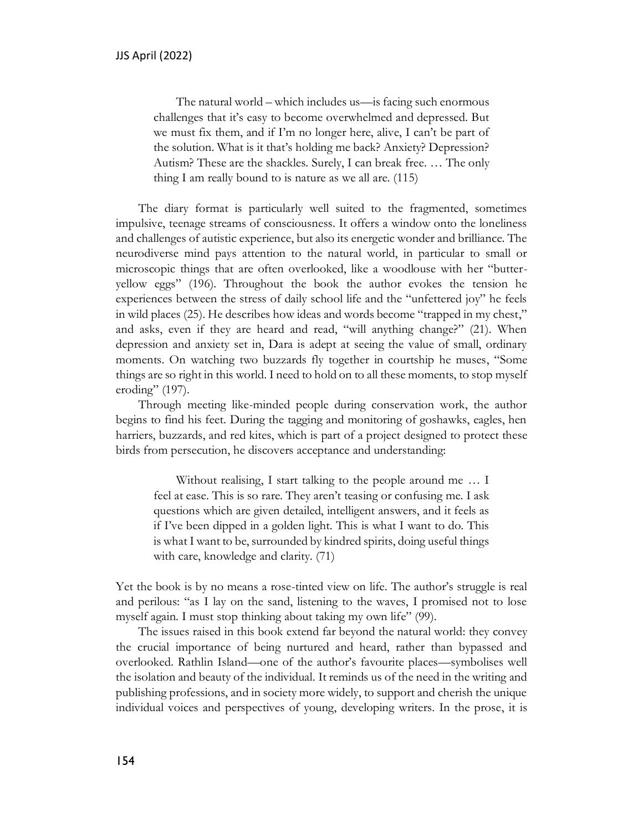The natural world – which includes us—is facing such enormous challenges that it's easy to become overwhelmed and depressed. But we must fix them, and if I'm no longer here, alive, I can't be part of the solution. What is it that's holding me back? Anxiety? Depression? Autism? These are the shackles. Surely, I can break free. … The only thing I am really bound to is nature as we all are. (115)

The diary format is particularly well suited to the fragmented, sometimes impulsive, teenage streams of consciousness. It offers a window onto the loneliness and challenges of autistic experience, but also its energetic wonder and brilliance. The neurodiverse mind pays attention to the natural world, in particular to small or microscopic things that are often overlooked, like a woodlouse with her "butteryellow eggs" (196). Throughout the book the author evokes the tension he experiences between the stress of daily school life and the "unfettered joy" he feels in wild places (25). He describes how ideas and words become "trapped in my chest," and asks, even if they are heard and read, "will anything change?" (21). When depression and anxiety set in, Dara is adept at seeing the value of small, ordinary moments. On watching two buzzards fly together in courtship he muses, "Some things are so right in this world. I need to hold on to all these moments, to stop myself eroding" (197).

Through meeting like-minded people during conservation work, the author begins to find his feet. During the tagging and monitoring of goshawks, eagles, hen harriers, buzzards, and red kites, which is part of a project designed to protect these birds from persecution, he discovers acceptance and understanding:

Without realising, I start talking to the people around me … I feel at ease. This is so rare. They aren't teasing or confusing me. I ask questions which are given detailed, intelligent answers, and it feels as if I've been dipped in a golden light. This is what I want to do. This is what I want to be, surrounded by kindred spirits, doing useful things with care, knowledge and clarity. (71)

Yet the book is by no means a rose-tinted view on life. The author's struggle is real and perilous: "as I lay on the sand, listening to the waves, I promised not to lose myself again. I must stop thinking about taking my own life" (99).

The issues raised in this book extend far beyond the natural world: they convey the crucial importance of being nurtured and heard, rather than bypassed and overlooked. Rathlin Island—one of the author's favourite places—symbolises well the isolation and beauty of the individual. It reminds us of the need in the writing and publishing professions, and in society more widely, to support and cherish the unique individual voices and perspectives of young, developing writers. In the prose, it is